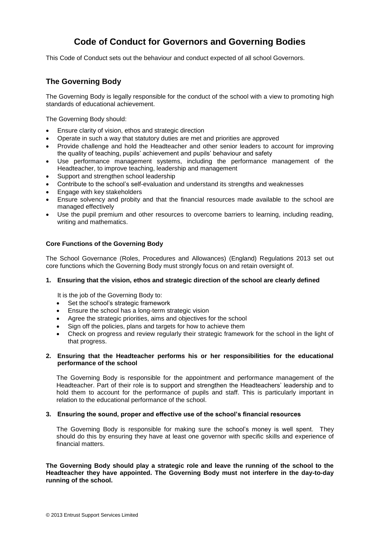# **Code of Conduct for Governors and Governing Bodies**

This Code of Conduct sets out the behaviour and conduct expected of all school Governors.

### **The Governing Body**

The Governing Body is legally responsible for the conduct of the school with a view to promoting high standards of educational achievement.

The Governing Body should:

- Ensure clarity of vision, ethos and strategic direction
- Operate in such a way that statutory duties are met and priorities are approved
- Provide challenge and hold the Headteacher and other senior leaders to account for improving the quality of teaching, pupils' achievement and pupils' behaviour and safety
- Use performance management systems, including the performance management of the Headteacher, to improve teaching, leadership and management
- Support and strengthen school leadership
- Contribute to the school's self-evaluation and understand its strengths and weaknesses
- Engage with key stakeholders
- Ensure solvency and probity and that the financial resources made available to the school are managed effectively
- Use the pupil premium and other resources to overcome barriers to learning, including reading, writing and mathematics.

#### **Core Functions of the Governing Body**

The School Governance (Roles, Procedures and Allowances) (England) Regulations 2013 set out core functions which the Governing Body must strongly focus on and retain oversight of.

#### **1. Ensuring that the vision, ethos and strategic direction of the school are clearly defined**

It is the job of the Governing Body to:

- Set the school's strategic framework
- **Ensure the school has a long-term strategic vision**
- Agree the strategic priorities, aims and objectives for the school
- Sign off the policies, plans and targets for how to achieve them
- Check on progress and review regularly their strategic framework for the school in the light of that progress.

#### **2. Ensuring that the Headteacher performs his or her responsibilities for the educational performance of the school**

The Governing Body is responsible for the appointment and performance management of the Headteacher. Part of their role is to support and strengthen the Headteachers' leadership and to hold them to account for the performance of pupils and staff. This is particularly important in relation to the educational performance of the school.

#### **3. Ensuring the sound, proper and effective use of the school's financial resources**

The Governing Body is responsible for making sure the school's money is well spent. They should do this by ensuring they have at least one governor with specific skills and experience of financial matters.

**The Governing Body should play a strategic role and leave the running of the school to the Headteacher they have appointed. The Governing Body must not interfere in the day-to-day running of the school.**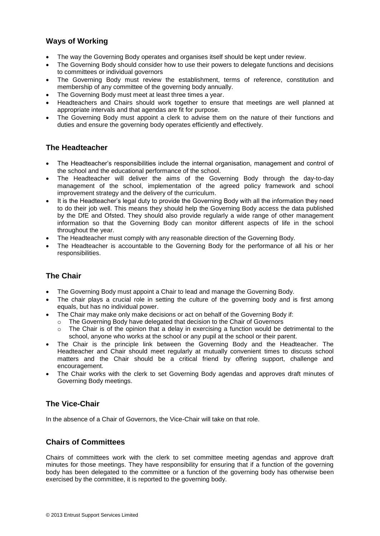## **Ways of Working**

- The way the Governing Body operates and organises itself should be kept under review.
- The Governing Body should consider how to use their powers to delegate functions and decisions to committees or individual governors
- The Governing Body must review the establishment, terms of reference, constitution and membership of any committee of the governing body annually.
- The Governing Body must meet at least three times a year.
- Headteachers and Chairs should work together to ensure that meetings are well planned at appropriate intervals and that agendas are fit for purpose.
- The Governing Body must appoint a clerk to advise them on the nature of their functions and duties and ensure the governing body operates efficiently and effectively.

### **The Headteacher**

- The Headteacher's responsibilities include the internal organisation, management and control of the school and the educational performance of the school.
- The Headteacher will deliver the aims of the Governing Body through the day-to-day management of the school, implementation of the agreed policy framework and school improvement strategy and the delivery of the curriculum.
- It is the Headteacher's legal duty to provide the Governing Body with all the information they need to do their job well. This means they should help the Governing Body access the data published by the DfE and Ofsted. They should also provide regularly a wide range of other management information so that the Governing Body can monitor different aspects of life in the school throughout the year.
- The Headteacher must comply with any reasonable direction of the Governing Body.
- The Headteacher is accountable to the Governing Body for the performance of all his or her responsibilities.

### **The Chair**

- The Governing Body must appoint a Chair to lead and manage the Governing Body.
- The chair plays a crucial role in setting the culture of the governing body and is first among equals, but has no individual power.
- The Chair may make only make decisions or act on behalf of the Governing Body if:
	- $\circ$  The Governing Body have delegated that decision to the Chair of Governors
	- $\circ$  The Chair is of the opinion that a delay in exercising a function would be detrimental to the school, anyone who works at the school or any pupil at the school or their parent.
- The Chair is the principle link between the Governing Body and the Headteacher. The Headteacher and Chair should meet regularly at mutually convenient times to discuss school matters and the Chair should be a critical friend by offering support, challenge and encouragement.
- The Chair works with the clerk to set Governing Body agendas and approves draft minutes of Governing Body meetings.

### **The Vice-Chair**

In the absence of a Chair of Governors, the Vice-Chair will take on that role.

### **Chairs of Committees**

Chairs of committees work with the clerk to set committee meeting agendas and approve draft minutes for those meetings. They have responsibility for ensuring that if a function of the governing body has been delegated to the committee or a function of the governing body has otherwise been exercised by the committee, it is reported to the governing body.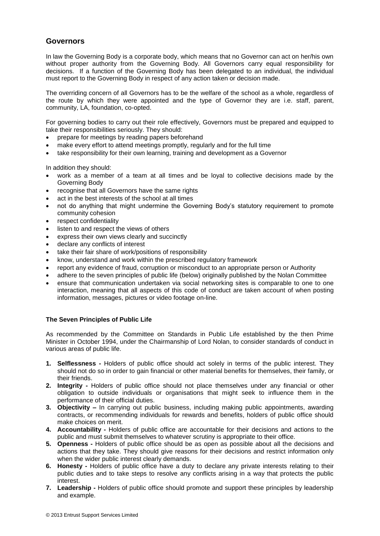### **Governors**

In law the Governing Body is a corporate body, which means that no Governor can act on her/his own without proper authority from the Governing Body. All Governors carry equal responsibility for decisions. If a function of the Governing Body has been delegated to an individual, the individual must report to the Governing Body in respect of any action taken or decision made.

The overriding concern of all Governors has to be the welfare of the school as a whole, regardless of the route by which they were appointed and the type of Governor they are i.e. staff, parent, community, LA, foundation, co-opted.

For governing bodies to carry out their role effectively, Governors must be prepared and equipped to take their responsibilities seriously. They should:

- prepare for meetings by reading papers beforehand
- make every effort to attend meetings promptly, regularly and for the full time
- take responsibility for their own learning, training and development as a Governor

In addition they should:

- work as a member of a team at all times and be loyal to collective decisions made by the Governing Body
- recognise that all Governors have the same rights
- act in the best interests of the school at all times
- not do anything that might undermine the Governing Body's statutory requirement to promote community cohesion
- respect confidentiality
- listen to and respect the views of others
- express their own views clearly and succinctly
- declare any conflicts of interest
- take their fair share of work/positions of responsibility
- know, understand and work within the prescribed regulatory framework
- report any evidence of fraud, corruption or misconduct to an appropriate person or Authority
- adhere to the seven principles of public life (below) originally published by the Nolan Committee
- ensure that communication undertaken via social networking sites is comparable to one to one interaction, meaning that all aspects of this code of conduct are taken account of when posting information, messages, pictures or video footage on-line.

#### **The Seven Principles of Public Life**

As recommended by the Committee on Standards in Public Life established by the then Prime Minister in October 1994, under the Chairmanship of Lord Nolan, to consider standards of conduct in various areas of public life.

- **1. Selflessness -** Holders of public office should act solely in terms of the public interest. They should not do so in order to gain financial or other material benefits for themselves, their family, or their friends.
- **2. Integrity -** Holders of public office should not place themselves under any financial or other obligation to outside individuals or organisations that might seek to influence them in the performance of their official duties.
- **3. Objectivity –** In carrying out public business, including making public appointments, awarding contracts, or recommending individuals for rewards and benefits, holders of public office should make choices on merit.
- **4. Accountability -** Holders of public office are accountable for their decisions and actions to the public and must submit themselves to whatever scrutiny is appropriate to their office.
- **5. Openness -** Holders of public office should be as open as possible about all the decisions and actions that they take. They should give reasons for their decisions and restrict information only when the wider public interest clearly demands.
- **6. Honesty -** Holders of public office have a duty to declare any private interests relating to their public duties and to take steps to resolve any conflicts arising in a way that protects the public interest.
- **7. Leadership -** Holders of public office should promote and support these principles by leadership and example.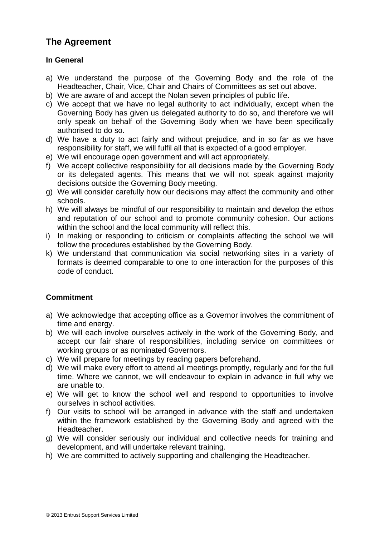# **The Agreement**

## **In General**

- a) We understand the purpose of the Governing Body and the role of the Headteacher, Chair, Vice, Chair and Chairs of Committees as set out above.
- b) We are aware of and accept the Nolan seven principles of public life.
- c) We accept that we have no legal authority to act individually, except when the Governing Body has given us delegated authority to do so, and therefore we will only speak on behalf of the Governing Body when we have been specifically authorised to do so.
- d) We have a duty to act fairly and without prejudice, and in so far as we have responsibility for staff, we will fulfil all that is expected of a good employer.
- e) We will encourage open government and will act appropriately.
- f) We accept collective responsibility for all decisions made by the Governing Body or its delegated agents. This means that we will not speak against majority decisions outside the Governing Body meeting.
- g) We will consider carefully how our decisions may affect the community and other schools.
- h) We will always be mindful of our responsibility to maintain and develop the ethos and reputation of our school and to promote community cohesion. Our actions within the school and the local community will reflect this.
- i) In making or responding to criticism or complaints affecting the school we will follow the procedures established by the Governing Body.
- k) We understand that communication via social networking sites in a variety of formats is deemed comparable to one to one interaction for the purposes of this code of conduct.

# **Commitment**

- a) We acknowledge that accepting office as a Governor involves the commitment of time and energy.
- b) We will each involve ourselves actively in the work of the Governing Body, and accept our fair share of responsibilities, including service on committees or working groups or as nominated Governors.
- c) We will prepare for meetings by reading papers beforehand.
- d) We will make every effort to attend all meetings promptly, regularly and for the full time. Where we cannot, we will endeavour to explain in advance in full why we are unable to.
- e) We will get to know the school well and respond to opportunities to involve ourselves in school activities.
- f) Our visits to school will be arranged in advance with the staff and undertaken within the framework established by the Governing Body and agreed with the Headteacher.
- g) We will consider seriously our individual and collective needs for training and development, and will undertake relevant training.
- h) We are committed to actively supporting and challenging the Headteacher.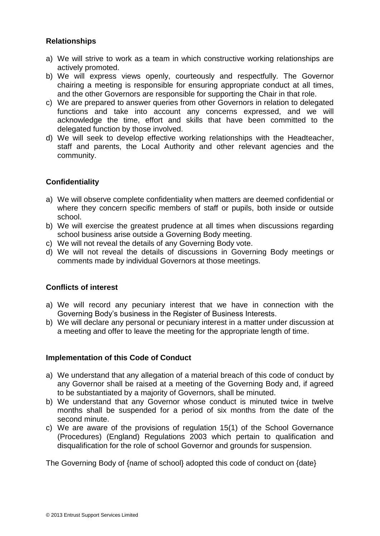# **Relationships**

- a) We will strive to work as a team in which constructive working relationships are actively promoted.
- b) We will express views openly, courteously and respectfully. The Governor chairing a meeting is responsible for ensuring appropriate conduct at all times, and the other Governors are responsible for supporting the Chair in that role.
- c) We are prepared to answer queries from other Governors in relation to delegated functions and take into account any concerns expressed, and we will acknowledge the time, effort and skills that have been committed to the delegated function by those involved.
- d) We will seek to develop effective working relationships with the Headteacher, staff and parents, the Local Authority and other relevant agencies and the community.

# **Confidentiality**

- a) We will observe complete confidentiality when matters are deemed confidential or where they concern specific members of staff or pupils, both inside or outside school.
- b) We will exercise the greatest prudence at all times when discussions regarding school business arise outside a Governing Body meeting.
- c) We will not reveal the details of any Governing Body vote.
- d) We will not reveal the details of discussions in Governing Body meetings or comments made by individual Governors at those meetings.

### **Conflicts of interest**

- a) We will record any pecuniary interest that we have in connection with the Governing Body's business in the Register of Business Interests.
- b) We will declare any personal or pecuniary interest in a matter under discussion at a meeting and offer to leave the meeting for the appropriate length of time.

### **Implementation of this Code of Conduct**

- a) We understand that any allegation of a material breach of this code of conduct by any Governor shall be raised at a meeting of the Governing Body and, if agreed to be substantiated by a majority of Governors, shall be minuted.
- b) We understand that any Governor whose conduct is minuted twice in twelve months shall be suspended for a period of six months from the date of the second minute.
- c) We are aware of the provisions of regulation 15(1) of the School Governance (Procedures) (England) Regulations 2003 which pertain to qualification and disqualification for the role of school Governor and grounds for suspension.

The Governing Body of {name of school} adopted this code of conduct on {date}